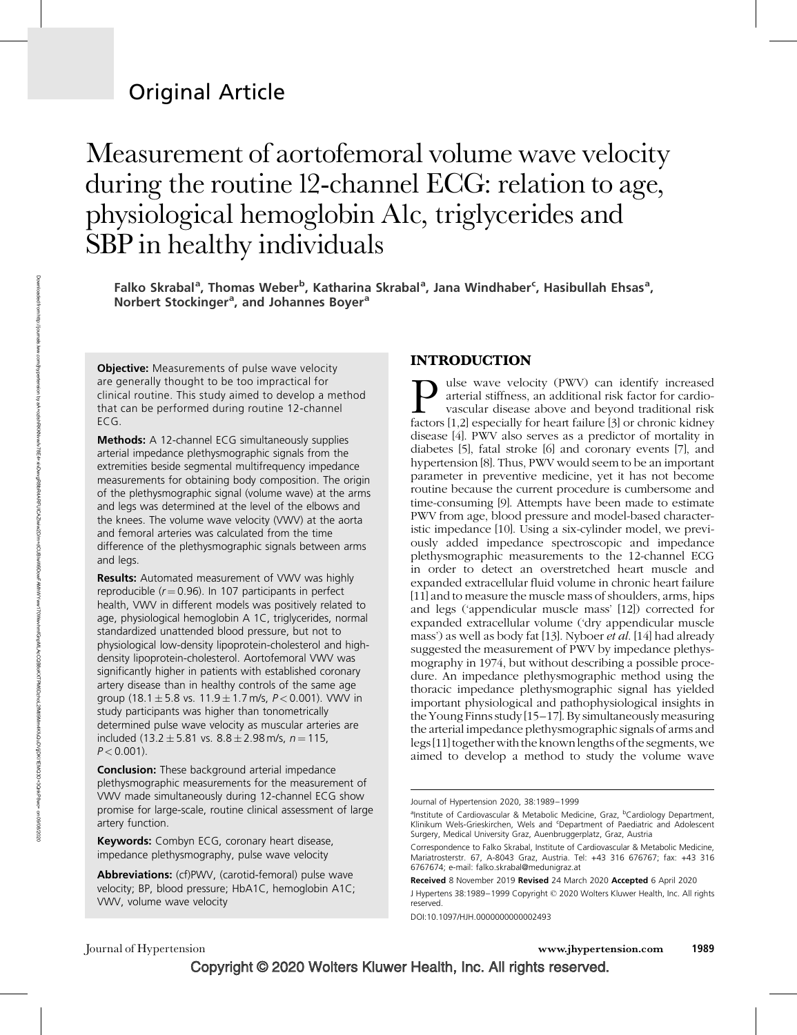# Original Article

# Measurement of aortofemoral volume wave velocity during the routine 12-channel ECG: relation to age, physiological hemoglobin A1c, triglycerides and SBP in healthy individuals

Falko Skrabal<sup>a</sup>, Thomas Weber<sup>b</sup>, Katharina Skrabal<sup>a</sup>, Jana Windhaber<sup>c</sup>, Hasibullah Ehsas<sup>a</sup>, Norbert Stockinger<sup>a</sup>, and Johannes Boyer<sup>a</sup>

**Objective:** Measurements of pulse wave velocity are generally thought to be too impractical for clinical routine. This study aimed to develop a method that can be performed during routine 12-channel ECG.

Methods: A 12-channel ECG simultaneously supplies arterial impedance plethysmographic signals from the extremities beside segmental multifrequency impedance measurements for obtaining body composition. The origin of the plethysmographic signal (volume wave) at the arms and legs was determined at the level of the elbows and the knees. The volume wave velocity (VWV) at the aorta and femoral arteries was calculated from the time difference of the plethysmographic signals between arms and legs.

Results: Automated measurement of VWV was highly reproducible ( $r = 0.96$ ). In 107 participants in perfect health, VWV in different models was positively related to age, physiological hemoglobin A 1C, triglycerides, normal standardized unattended blood pressure, but not to physiological low-density lipoprotein-cholesterol and highdensity lipoprotein-cholesterol. Aortofemoral VWV was significantly higher in patients with established coronary artery disease than in healthy controls of the same age group (18.1 $\pm$  5.8 vs. 11.9 $\pm$  1.7 m/s,  $\it P$  < 0.001). VWV in study participants was higher than tonometrically determined pulse wave velocity as muscular arteries are included (13.2  $\pm$  5.81 vs. 8.8  $\pm$  2.98 m/s, n = 115,  $P < 0.001$ ).

**Conclusion:** These background arterial impedance plethysmographic measurements for the measurement of VWV made simultaneously during 12-channel ECG show promise for large-scale, routine clinical assessment of large artery function.

Keywords: Combyn ECG, coronary heart disease, impedance plethysmography, pulse wave velocity

Abbreviations: (cf)PWV, (carotid-femoral) pulse wave velocity; BP, blood pressure; HbA1C, hemoglobin A1C; VWV, volume wave velocity

### INTRODUCTION

**Pulse wave velocity (PWV) can identify increased** arterial stiffness, an additional risk factor for cardiovascular disease above and beyond traditional risk factors [1,2] especially for heart failure [3] or chronic kidney arterial stiffness, an additional risk factor for cardiovascular disease above and beyond traditional risk disease [4]. PWV also serves as a predictor of mortality in diabetes [5], fatal stroke [6] and coronary events [7], and hypertension [8]. Thus, PWV would seem to be an important parameter in preventive medicine, yet it has not become routine because the current procedure is cumbersome and time-consuming [9]. Attempts have been made to estimate PWV from age, blood pressure and model-based characteristic impedance [10]. Using a six-cylinder model, we previously added impedance spectroscopic and impedance plethysmographic measurements to the 12-channel ECG in order to detect an overstretched heart muscle and expanded extracellular fluid volume in chronic heart failure [11] and to measure the muscle mass of shoulders, arms, hips and legs ('appendicular muscle mass' [12]) corrected for expanded extracellular volume ('dry appendicular muscle mass') as well as body fat [13]. Nyboer et al. [14] had already suggested the measurement of PWV by impedance plethysmography in 1974, but without describing a possible procedure. An impedance plethysmographic method using the thoracic impedance plethysmographic signal has yielded important physiological and pathophysiological insights in the Young Finns study [15–17]. By simultaneously measuring the arterial impedance plethysmographic signals of arms and legs [11] together with the known lengths of the segments, we aimed to develop a method to study the volume wave

DOI:10.1097/HJH.0000000000002493

Journal of Hypertension www.jhypertension.com 1989

Journal of Hypertension 2020, 38:1989–1999

<sup>&</sup>lt;sup>a</sup>Institute of Cardiovascular & Metabolic Medicine, Graz, <sup>b</sup>Cardiology Department,<br>Klinikum Wels-Grieskirchen, Wels and <sup>c</sup>Department of Paediatric and Adolescent Surgery, Medical University Graz, Auenbruggerplatz, Graz, Austria

Correspondence to Falko Skrabal, Institute of Cardiovascular & Metabolic Medicine, Mariatrosterstr. 67, A-8043 Graz, Austria. Tel: +43 316 676767; fax: +43 316 6767674; e-mail: [falko.skrabal@medunigraz.at](mailto:falko.skrabal@medunigraz.at)

Received 8 November 2019 Revised 24 March 2020 Accepted 6 April 2020

J Hypertens 38:1989—1999 Copyright © 2020 Wolters Kluwer Health, Inc. All rights reserved.

Copyright © 2020 Wolters Kluwer Health, Inc. All rights reserved.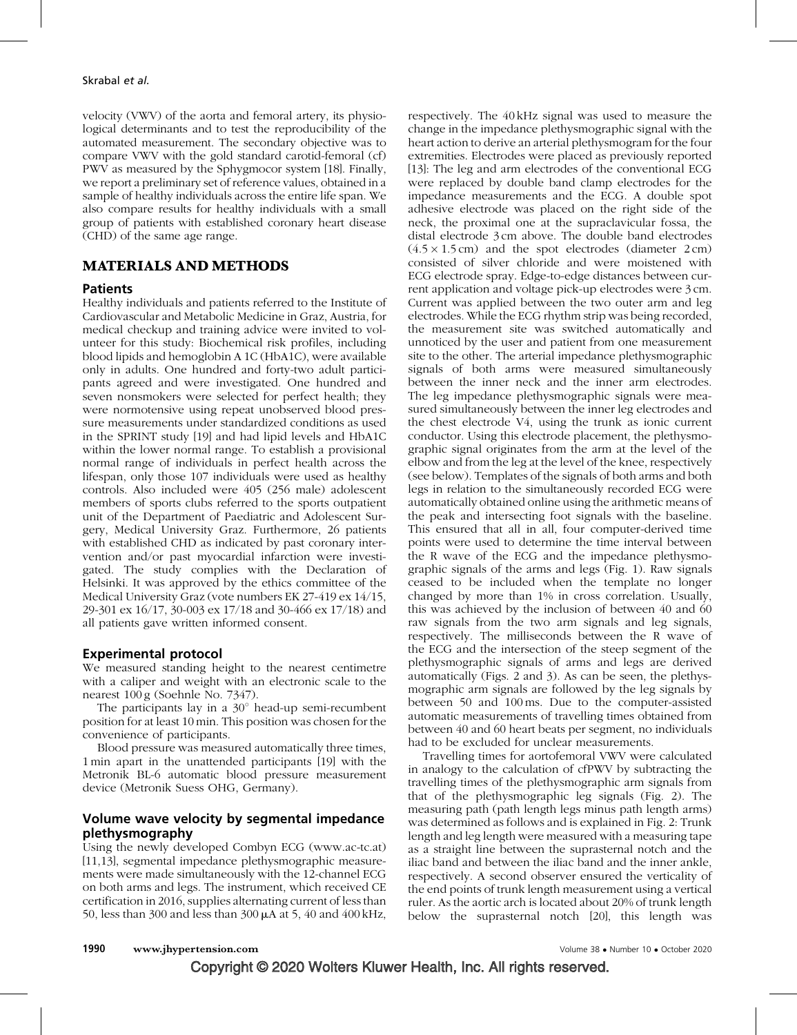velocity (VWV) of the aorta and femoral artery, its physiological determinants and to test the reproducibility of the automated measurement. The secondary objective was to compare VWV with the gold standard carotid-femoral (cf) PWV as measured by the Sphygmocor system [18]. Finally, we report a preliminary set of reference values, obtained in a sample of healthy individuals across the entire life span. We also compare results for healthy individuals with a small group of patients with established coronary heart disease (CHD) of the same age range.

#### MATERIALS AND METHODS

#### **Patients**

Healthy individuals and patients referred to the Institute of Cardiovascular and Metabolic Medicine in Graz, Austria, for medical checkup and training advice were invited to volunteer for this study: Biochemical risk profiles, including blood lipids and hemoglobin A 1C (HbA1C), were available only in adults. One hundred and forty-two adult participants agreed and were investigated. One hundred and seven nonsmokers were selected for perfect health; they were normotensive using repeat unobserved blood pressure measurements under standardized conditions as used in the SPRINT study [19] and had lipid levels and HbA1C within the lower normal range. To establish a provisional normal range of individuals in perfect health across the lifespan, only those 107 individuals were used as healthy controls. Also included were 405 (256 male) adolescent members of sports clubs referred to the sports outpatient unit of the Department of Paediatric and Adolescent Surgery, Medical University Graz. Furthermore, 26 patients with established CHD as indicated by past coronary intervention and/or past myocardial infarction were investigated. The study complies with the Declaration of Helsinki. It was approved by the ethics committee of the Medical University Graz (vote numbers EK 27-419 ex 14/15, 29-301 ex 16/17, 30-003 ex 17/18 and 30-466 ex 17/18) and all patients gave written informed consent.

#### Experimental protocol

We measured standing height to the nearest centimetre with a caliper and weight with an electronic scale to the nearest 100 g (Soehnle No. 7347).

The participants lay in a  $30^\circ$  head-up semi-recumbent position for at least 10 min. This position was chosen for the convenience of participants.

Blood pressure was measured automatically three times, 1 min apart in the unattended participants [19] with the Metronik BL-6 automatic blood pressure measurement device (Metronik Suess OHG, Germany).

### Volume wave velocity by segmental impedance plethysmography

Using the newly developed Combyn ECG ([www.ac-tc.at\)](http://www.ac-tc.at/) [11,13], segmental impedance plethysmographic measurements were made simultaneously with the 12-channel ECG on both arms and legs. The instrument, which received CE certification in 2016, supplies alternating current of less than 50, less than 300 and less than 300  $\mu$ A at 5, 40 and 400 kHz, respectively. The 40 kHz signal was used to measure the change in the impedance plethysmographic signal with the heart action to derive an arterial plethysmogram for the four extremities. Electrodes were placed as previously reported [13]: The leg and arm electrodes of the conventional ECG were replaced by double band clamp electrodes for the impedance measurements and the ECG. A double spot adhesive electrode was placed on the right side of the neck, the proximal one at the supraclavicular fossa, the distal electrode 3 cm above. The double band electrodes  $(4.5 \times 1.5 \text{ cm})$  and the spot electrodes (diameter  $2 \text{ cm}$ ) consisted of silver chloride and were moistened with ECG electrode spray. Edge-to-edge distances between current application and voltage pick-up electrodes were 3 cm. Current was applied between the two outer arm and leg electrodes. While the ECG rhythm strip was being recorded, the measurement site was switched automatically and unnoticed by the user and patient from one measurement site to the other. The arterial impedance plethysmographic signals of both arms were measured simultaneously between the inner neck and the inner arm electrodes. The leg impedance plethysmographic signals were measured simultaneously between the inner leg electrodes and the chest electrode V4, using the trunk as ionic current conductor. Using this electrode placement, the plethysmographic signal originates from the arm at the level of the elbow and from the leg at the level of the knee, respectively (see below). Templates of the signals of both arms and both legs in relation to the simultaneously recorded ECG were automatically obtained online using the arithmetic means of the peak and intersecting foot signals with the baseline. This ensured that all in all, four computer-derived time points were used to determine the time interval between the R wave of the ECG and the impedance plethysmographic signals of the arms and legs (Fig. 1). Raw signals ceased to be included when the template no longer changed by more than 1% in cross correlation. Usually, this was achieved by the inclusion of between 40 and 60 raw signals from the two arm signals and leg signals, respectively. The milliseconds between the R wave of the ECG and the intersection of the steep segment of the plethysmographic signals of arms and legs are derived automatically (Figs. 2 and 3). As can be seen, the plethysmographic arm signals are followed by the leg signals by between 50 and 100 ms. Due to the computer-assisted automatic measurements of travelling times obtained from between 40 and 60 heart beats per segment, no individuals had to be excluded for unclear measurements.

Travelling times for aortofemoral VWV were calculated in analogy to the calculation of cfPWV by subtracting the travelling times of the plethysmographic arm signals from that of the plethysmographic leg signals (Fig. 2). The measuring path (path length legs minus path length arms) was determined as follows and is explained in Fig. 2: Trunk length and leg length were measured with a measuring tape as a straight line between the suprasternal notch and the iliac band and between the iliac band and the inner ankle, respectively. A second observer ensured the verticality of the end points of trunk length measurement using a vertical ruler. As the aortic arch is located about 20% of trunk length below the suprasternal notch [20], this length was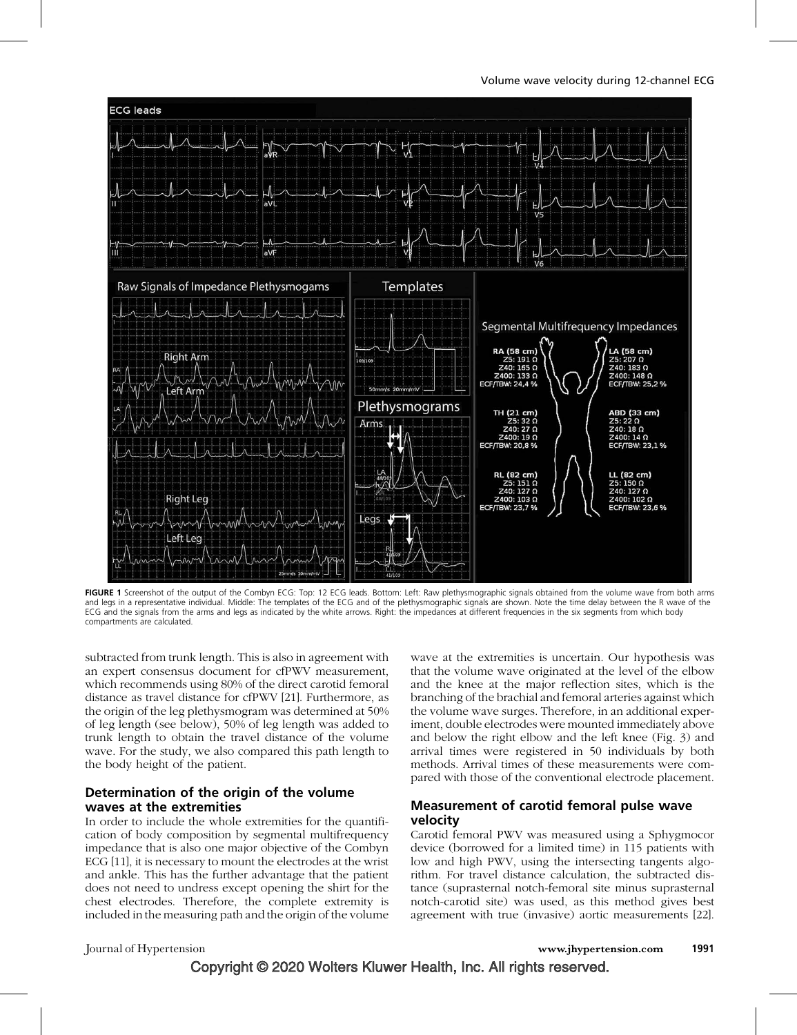



FIGURE 1 Screenshot of the output of the Combyn ECG: Top: 12 ECG leads. Bottom: Left: Raw plethysmographic signals obtained from the volume wave from both arms and legs in a representative individual. Middle: The templates of the ECG and of the plethysmographic signals are shown. Note the time delay between the R wave of the ECG and the signals from the arms and legs as indicated by the white arrows. Right: the impedances at different frequencies in the six segments from which body compartments are calculated.

subtracted from trunk length. This is also in agreement with an expert consensus document for cfPWV measurement, which recommends using 80% of the direct carotid femoral distance as travel distance for cfPWV [21]. Furthermore, as the origin of the leg plethysmogram was determined at 50% of leg length (see below), 50% of leg length was added to trunk length to obtain the travel distance of the volume wave. For the study, we also compared this path length to the body height of the patient.

#### Determination of the origin of the volume waves at the extremities

In order to include the whole extremities for the quantification of body composition by segmental multifrequency impedance that is also one major objective of the Combyn ECG [11], it is necessary to mount the electrodes at the wrist and ankle. This has the further advantage that the patient does not need to undress except opening the shirt for the chest electrodes. Therefore, the complete extremity is included in the measuring path and the origin of the volume

wave at the extremities is uncertain. Our hypothesis was that the volume wave originated at the level of the elbow and the knee at the major reflection sites, which is the branching of the brachial and femoral arteries against which the volume wave surges. Therefore, in an additional experiment, double electrodes were mounted immediately above and below the right elbow and the left knee (Fig. 3) and arrival times were registered in 50 individuals by both methods. Arrival times of these measurements were compared with those of the conventional electrode placement.

#### Measurement of carotid femoral pulse wave velocity

Carotid femoral PWV was measured using a Sphygmocor device (borrowed for a limited time) in 115 patients with low and high PWV, using the intersecting tangents algorithm. For travel distance calculation, the subtracted distance (suprasternal notch-femoral site minus suprasternal notch-carotid site) was used, as this method gives best agreement with true (invasive) aortic measurements [22].

 Copyright © 2020 Wolters Kluwer Health, Inc. All rights reserved. Journal of Hypertension www.jhypertension.com 1991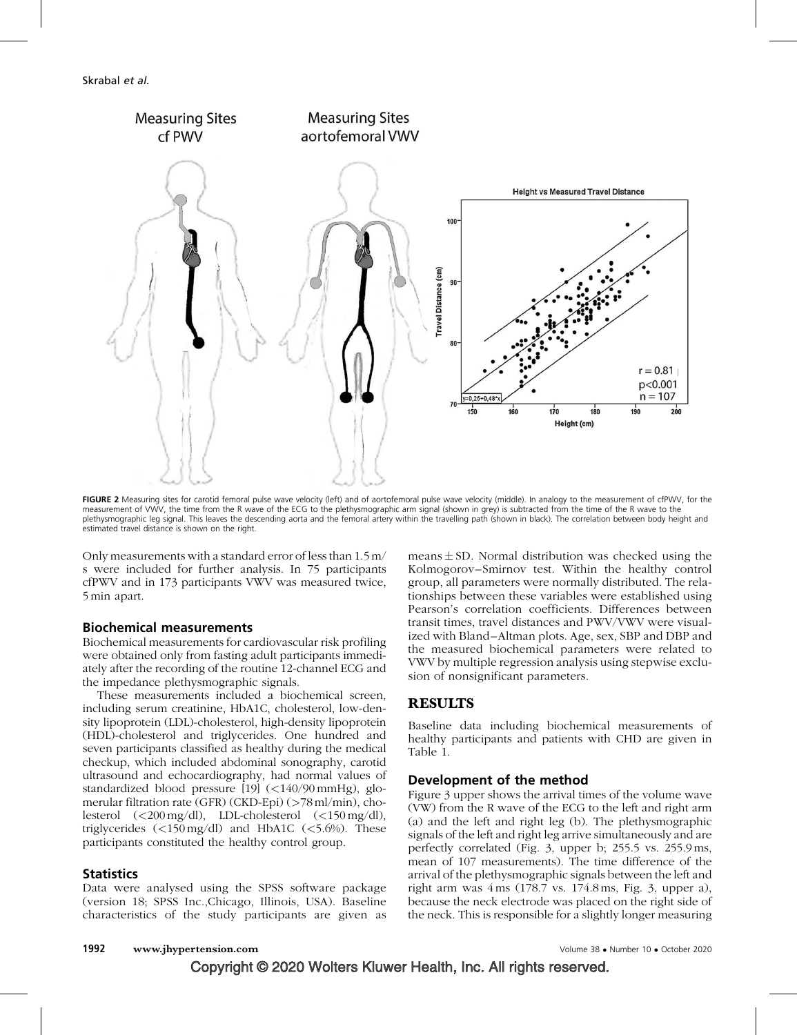

FIGURE 2 Measuring sites for carotid femoral pulse wave velocity (left) and of aortofemoral pulse wave velocity (middle). In analogy to the measurement of cfPWV, for the measurement of VWV, the time from the R wave of the ECG to the plethysmographic arm signal (shown in grey) is subtracted from the time of the R wave to the plethysmographic leg signal. This leaves the descending aorta and the femoral artery within the travelling path (shown in black). The correlation between body height and estimated travel distance is shown on the right.

Only measurements with a standard error of less than 1.5 m/ s were included for further analysis. In 75 participants cfPWV and in 173 participants VWV was measured twice, 5 min apart.

#### Biochemical measurements

Biochemical measurements for cardiovascular risk profiling were obtained only from fasting adult participants immediately after the recording of the routine 12-channel ECG and the impedance plethysmographic signals.

These measurements included a biochemical screen, including serum creatinine, HbA1C, cholesterol, low-density lipoprotein (LDL)-cholesterol, high-density lipoprotein (HDL)-cholesterol and triglycerides. One hundred and seven participants classified as healthy during the medical checkup, which included abdominal sonography, carotid ultrasound and echocardiography, had normal values of standardized blood pressure [19] (<140/90 mmHg), glomerular filtration rate (GFR) (CKD-Epi) (>78 ml/min), cholesterol (<200 mg/dl), LDL-cholesterol (<150 mg/dl), triglycerides (<150 mg/dl) and HbA1C (<5.6%). These participants constituted the healthy control group.

#### **Statistics**

Data were analysed using the SPSS software package (version 18; SPSS Inc.,Chicago, Illinois, USA). Baseline characteristics of the study participants are given as

 $means \pm SD$ . Normal distribution was checked using the Kolmogorov–Smirnov test. Within the healthy control group, all parameters were normally distributed. The relationships between these variables were established using Pearson's correlation coefficients. Differences between transit times, travel distances and PWV/VWV were visualized with Bland–Altman plots. Age, sex, SBP and DBP and the measured biochemical parameters were related to VWV by multiple regression analysis using stepwise exclusion of nonsignificant parameters.

#### RESULTS

Baseline data including biochemical measurements of healthy participants and patients with CHD are given in Table 1.

#### Development of the method

Figure 3 upper shows the arrival times of the volume wave (VW) from the R wave of the ECG to the left and right arm (a) and the left and right leg (b). The plethysmographic signals of the left and right leg arrive simultaneously and are perfectly correlated (Fig. 3, upper b; 255.5 vs. 255.9 ms, mean of 107 measurements). The time difference of the arrival of the plethysmographic signals between the left and right arm was 4 ms (178.7 vs. 174.8 ms, Fig. 3, upper a), because the neck electrode was placed on the right side of the neck. This is responsible for a slightly longer measuring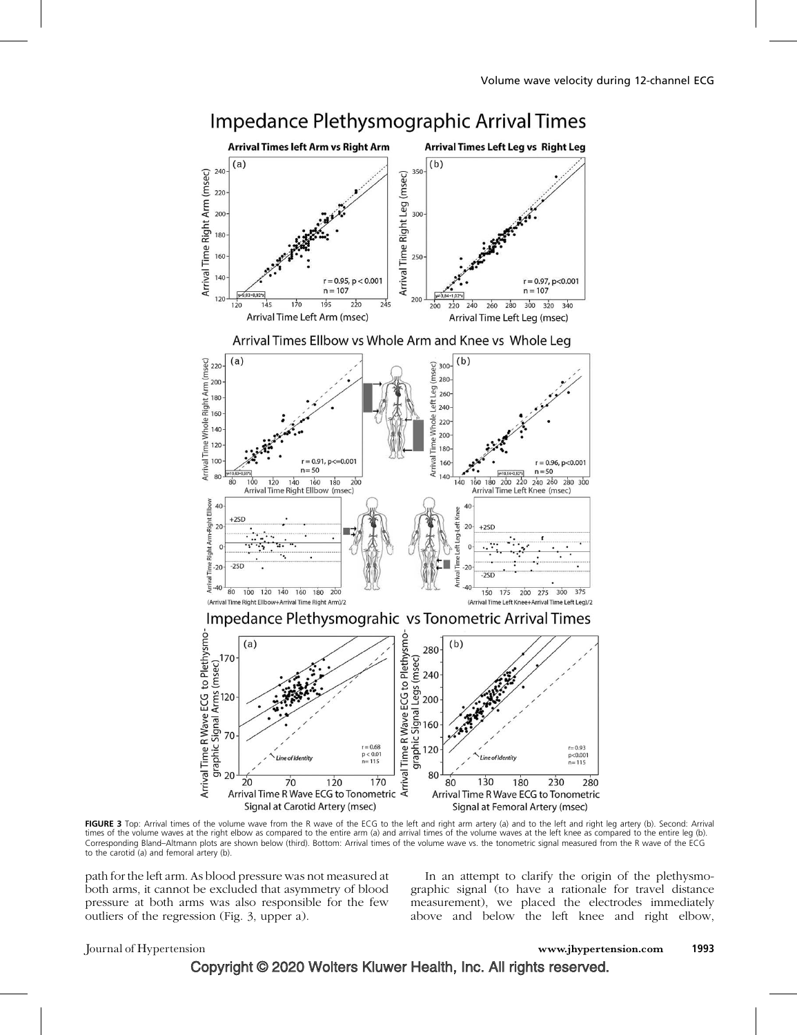

FIGURE 3 Top: Arrival times of the volume wave from the R wave of the ECG to the left and right arm artery (a) and to the left and right leg artery (b). Second: Arrival times of the volume waves at the right elbow as compared to the entire arm (a) and arrival times of the volume waves at the left knee as compared to the entire leg (b). Corresponding Bland–Altmann plots are shown below (third). Bottom: Arrival times of the volume wave vs. the tonometric signal measured from the R wave of the ECG to the carotid (a) and femoral artery (b).

path for the left arm. As blood pressure was not measured at both arms, it cannot be excluded that asymmetry of blood pressure at both arms was also responsible for the few outliers of the regression (Fig. 3, upper a).

In an attempt to clarify the origin of the plethysmographic signal (to have a rationale for travel distance measurement), we placed the electrodes immediately above and below the left knee and right elbow,

#### Journal of Hypertension www.jhypertension.com 1993

Copyright © 2020 Wolters Kluwer Health, Inc. All rights reserved.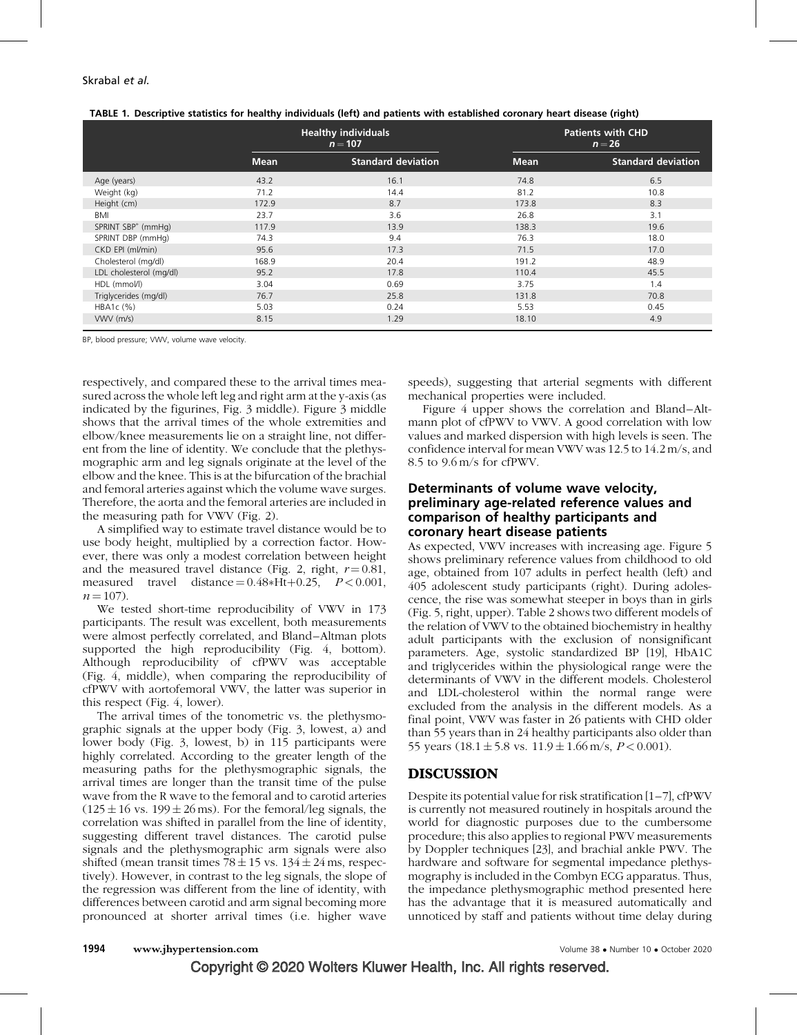|  |  | TABLE 1. Descriptive statistics for healthy individuals (left) and patients with established coronary heart disease (right) |  |
|--|--|-----------------------------------------------------------------------------------------------------------------------------|--|
|  |  |                                                                                                                             |  |

|                         |             | <b>Healthy individuals</b><br>$n = 107$ |             | <b>Patients with CHD</b><br>$n = 26$ |  |  |
|-------------------------|-------------|-----------------------------------------|-------------|--------------------------------------|--|--|
|                         | <b>Mean</b> | <b>Standard deviation</b>               | <b>Mean</b> | <b>Standard deviation</b>            |  |  |
| Age (years)             | 43.2        | 16.1                                    | 74.8        | 6.5                                  |  |  |
| Weight (kg)             | 71.2        | 14.4                                    | 81.2        | 10.8                                 |  |  |
| Height (cm)             | 172.9       | 8.7                                     | 173.8       | 8.3                                  |  |  |
| BMI                     | 23.7        | 3.6                                     | 26.8        | 3.1                                  |  |  |
| SPRINT SBP* (mmHg)      | 117.9       | 13.9                                    | 138.3       | 19.6                                 |  |  |
| SPRINT DBP (mmHg)       | 74.3        | 9.4                                     | 76.3        | 18.0                                 |  |  |
| CKD EPI (ml/min)        | 95.6        | 17.3                                    | 71.5        | 17.0                                 |  |  |
| Cholesterol (mg/dl)     | 168.9       | 20.4                                    | 191.2       | 48.9                                 |  |  |
| LDL cholesterol (mg/dl) | 95.2        | 17.8                                    | 110.4       | 45.5                                 |  |  |
| HDL (mmol/l)            | 3.04        | 0.69                                    | 3.75        | 1.4                                  |  |  |
| Triglycerides (mg/dl)   | 76.7        | 25.8                                    | 131.8       | 70.8                                 |  |  |
| HBA1c (%)               | 5.03        | 0.24                                    | 5.53        | 0.45                                 |  |  |
| $VWV$ (m/s)             | 8.15        | 1.29                                    | 18.10       | 4.9                                  |  |  |
|                         |             |                                         |             |                                      |  |  |

BP, blood pressure; VWV, volume wave velocity.

respectively, and compared these to the arrival times measured across the whole left leg and right arm at the y-axis (as indicated by the figurines, Fig. 3 middle). Figure 3 middle shows that the arrival times of the whole extremities and elbow/knee measurements lie on a straight line, not different from the line of identity. We conclude that the plethysmographic arm and leg signals originate at the level of the elbow and the knee. This is at the bifurcation of the brachial and femoral arteries against which the volume wave surges. Therefore, the aorta and the femoral arteries are included in the measuring path for VWV (Fig. 2).

A simplified way to estimate travel distance would be to use body height, multiplied by a correction factor. However, there was only a modest correlation between height and the measured travel distance (Fig. 2, right,  $r = 0.81$ , measured travel distance  $= 0.48*Ht+0.25$ ,  $P < 0.001$ ,  $n = 107$ .

We tested short-time reproducibility of VWV in 173 participants. The result was excellent, both measurements were almost perfectly correlated, and Bland–Altman plots supported the high reproducibility (Fig. 4, bottom). Although reproducibility of cfPWV was acceptable (Fig. 4, middle), when comparing the reproducibility of cfPWV with aortofemoral VWV, the latter was superior in this respect (Fig. 4, lower).

The arrival times of the tonometric vs. the plethysmographic signals at the upper body (Fig. 3, lowest, a) and lower body (Fig. 3, lowest, b) in 115 participants were highly correlated. According to the greater length of the measuring paths for the plethysmographic signals, the arrival times are longer than the transit time of the pulse wave from the R wave to the femoral and to carotid arteries  $(125 \pm 16 \text{ vs. } 199 \pm 26 \text{ ms})$ . For the femoral/leg signals, the correlation was shifted in parallel from the line of identity, suggesting different travel distances. The carotid pulse signals and the plethysmographic arm signals were also shifted (mean transit times 78  $\pm$  15 vs. 134  $\pm$  24 ms, respectively). However, in contrast to the leg signals, the slope of the regression was different from the line of identity, with differences between carotid and arm signal becoming more pronounced at shorter arrival times (i.e. higher wave

speeds), suggesting that arterial segments with different mechanical properties were included.

Figure 4 upper shows the correlation and Bland–Altmann plot of cfPWV to VWV. A good correlation with low values and marked dispersion with high levels is seen. The confidence interval for mean VWV was 12.5 to 14.2 m/s, and 8.5 to 9.6 m/s for cfPWV.

#### Determinants of volume wave velocity, preliminary age-related reference values and comparison of healthy participants and coronary heart disease patients

As expected, VWV increases with increasing age. Figure 5 shows preliminary reference values from childhood to old age, obtained from 107 adults in perfect health (left) and 405 adolescent study participants (right). During adolescence, the rise was somewhat steeper in boys than in girls (Fig. 5, right, upper). Table 2 shows two different models of the relation of VWV to the obtained biochemistry in healthy adult participants with the exclusion of nonsignificant parameters. Age, systolic standardized BP [19], HbA1C and triglycerides within the physiological range were the determinants of VWV in the different models. Cholesterol and LDL-cholesterol within the normal range were excluded from the analysis in the different models. As a final point, VWV was faster in 26 patients with CHD older than 55 years than in 24 healthy participants also older than 55 years  $(18.1 \pm 5.8 \text{ vs. } 11.9 \pm 1.66 \text{ m/s}, P < 0.001)$ .

## DISCUSSION

Despite its potential value for risk stratification [1–7], cfPWV is currently not measured routinely in hospitals around the world for diagnostic purposes due to the cumbersome procedure; this also applies to regional PWV measurements by Doppler techniques [23], and brachial ankle PWV. The hardware and software for segmental impedance plethysmography is included in the Combyn ECG apparatus. Thus, the impedance plethysmographic method presented here has the advantage that it is measured automatically and unnoticed by staff and patients without time delay during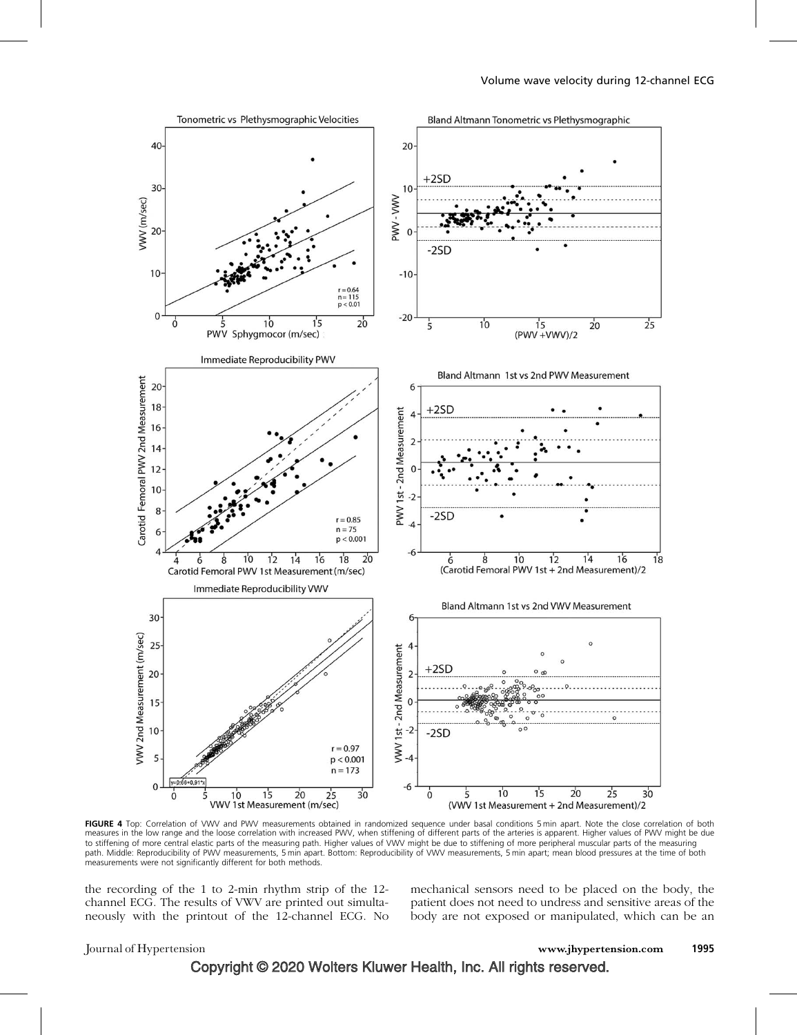

FIGURE 4 Top: Correlation of VWV and PWV measurements obtained in randomized sequence under basal conditions 5 min apart. Note the close correlation of both measures in the low range and the loose correlation with increased PWV, when stiffening of different parts of the arteries is apparent. Higher values of PWV might be due to stiffening of more central elastic parts of the measuring path. Higher values of VWV might be due to stiffening of more peripheral muscular parts of the measuring path. Middle: Reproducibility of PWV measurements, 5 min apart. Bottom: Reproducibility of VWV measurements, 5 min apart; mean blood pressures at the time of both measurements were not significantly different for both methods.

the recording of the 1 to 2-min rhythm strip of the 12 channel ECG. The results of VWV are printed out simultaneously with the printout of the 12-channel ECG. No mechanical sensors need to be placed on the body, the patient does not need to undress and sensitive areas of the body are not exposed or manipulated, which can be an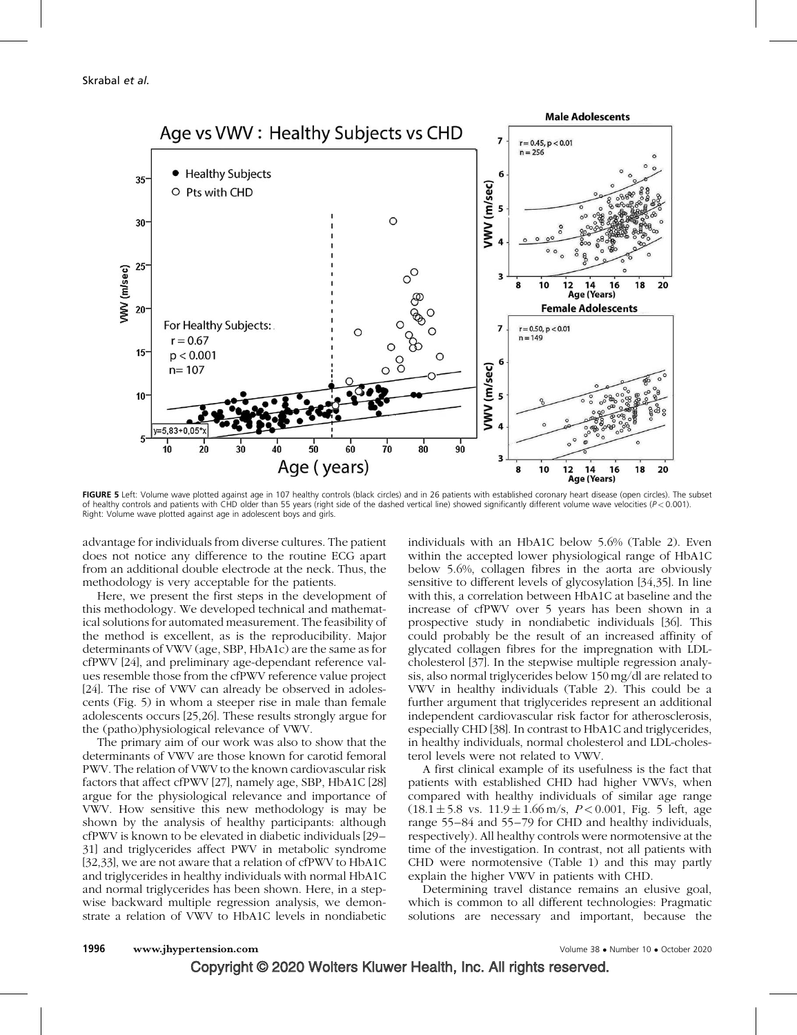

FIGURE 5 Left: Volume wave plotted against age in 107 healthy controls (black circles) and in 26 patients with established coronary heart disease (open circles). The subset of healthy controls and patients with CHD older than 55 years (right side of the dashed vertical line) showed significantly different volume wave velocities ( $P < 0.001$ ). Right: Volume wave plotted against age in adolescent boys and girls.

advantage for individuals from diverse cultures. The patient does not notice any difference to the routine ECG apart from an additional double electrode at the neck. Thus, the methodology is very acceptable for the patients.

Here, we present the first steps in the development of this methodology. We developed technical and mathematical solutions for automated measurement. The feasibility of the method is excellent, as is the reproducibility. Major determinants of VWV (age, SBP, HbA1c) are the same as for cfPWV [24], and preliminary age-dependant reference values resemble those from the cfPWV reference value project [24]. The rise of VWV can already be observed in adolescents (Fig. 5) in whom a steeper rise in male than female adolescents occurs [25,26]. These results strongly argue for the (patho)physiological relevance of VWV.

The primary aim of our work was also to show that the determinants of VWV are those known for carotid femoral PWV. The relation of VWV to the known cardiovascular risk factors that affect cfPWV [27], namely age, SBP, HbA1C [28] argue for the physiological relevance and importance of VWV. How sensitive this new methodology is may be shown by the analysis of healthy participants: although cfPWV is known to be elevated in diabetic individuals [29– 31] and triglycerides affect PWV in metabolic syndrome [32,33], we are not aware that a relation of cfPWV to HbA1C and triglycerides in healthy individuals with normal HbA1C and normal triglycerides has been shown. Here, in a stepwise backward multiple regression analysis, we demonstrate a relation of VWV to HbA1C levels in nondiabetic individuals with an HbA1C below 5.6% (Table 2). Even within the accepted lower physiological range of HbA1C below 5.6%, collagen fibres in the aorta are obviously sensitive to different levels of glycosylation [34,35]. In line with this, a correlation between HbA1C at baseline and the increase of cfPWV over 5 years has been shown in a prospective study in nondiabetic individuals [36]. This could probably be the result of an increased affinity of glycated collagen fibres for the impregnation with LDLcholesterol [37]. In the stepwise multiple regression analysis, also normal triglycerides below 150 mg/dl are related to VWV in healthy individuals (Table 2). This could be a further argument that triglycerides represent an additional independent cardiovascular risk factor for atherosclerosis, especially CHD [38]. In contrast to HbA1C and triglycerides, in healthy individuals, normal cholesterol and LDL-cholesterol levels were not related to VWV.

A first clinical example of its usefulness is the fact that patients with established CHD had higher VWVs, when compared with healthy individuals of similar age range  $(18.1 \pm 5.8 \text{ vs. } 11.9 \pm 1.66 \text{ m/s}, P < 0.001, \text{ Fig. 5 left, age})$ range 55–84 and 55–79 for CHD and healthy individuals, respectively). All healthy controls were normotensive at the time of the investigation. In contrast, not all patients with CHD were normotensive (Table 1) and this may partly explain the higher VWV in patients with CHD.

Determining travel distance remains an elusive goal, which is common to all different technologies: Pragmatic solutions are necessary and important, because the

Copyright © 2020 Wolters Kluwer Health, Inc. All rights reserved.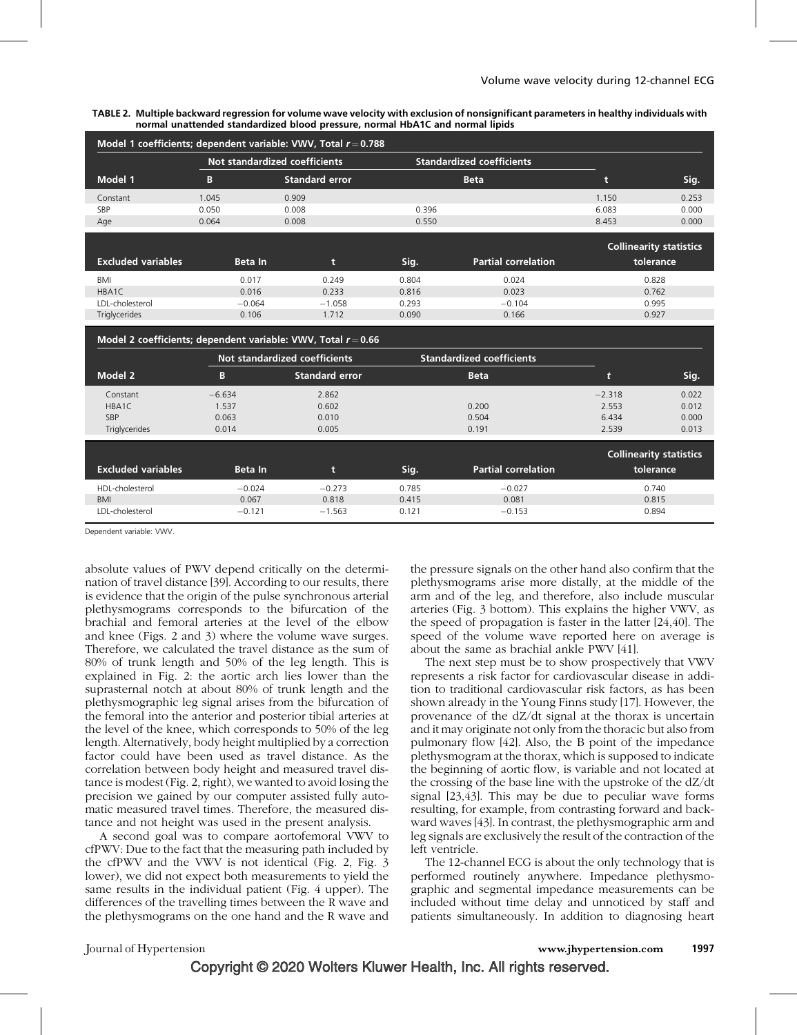TABLE 2. Multiple backward regression for volume wave velocity with exclusion of nonsignificant parameters in healthy individuals with normal unattended standardized blood pressure, normal HbA1C and normal lipids

| Model 1 coefficients; dependent variable: VWV, Total $r = 0.788$ |                               |                       |       |                                  |       |                                |  |  |
|------------------------------------------------------------------|-------------------------------|-----------------------|-------|----------------------------------|-------|--------------------------------|--|--|
|                                                                  | Not standardized coefficients |                       |       | <b>Standardized coefficients</b> |       |                                |  |  |
| Model 1                                                          | B                             | <b>Standard error</b> |       | <b>Beta</b>                      |       | Sig.                           |  |  |
| Constant                                                         | 1.045                         | 0.909                 |       |                                  | 1.150 | 0.253                          |  |  |
| SBP                                                              | 0.050                         | 0.008                 | 0.396 |                                  | 6.083 | 0.000                          |  |  |
| Age                                                              | 0.064                         | 0.008                 | 0.550 |                                  | 8.453 | 0.000                          |  |  |
|                                                                  |                               |                       |       |                                  |       | <b>Collinearity statistics</b> |  |  |
| <b>Excluded variables</b>                                        | <b>Beta</b> In                | t                     | Sig.  | <b>Partial correlation</b>       |       | tolerance                      |  |  |
| BMI                                                              | 0.017                         | 0.249                 | 0.804 | 0.024                            |       | 0.828                          |  |  |
| HBA1C                                                            | 0.016                         | 0.233                 | 0.816 | 0.023                            |       | 0.762                          |  |  |
| LDL-cholesterol                                                  | $-0.064$                      | $-1.058$              | 0.293 | $-0.104$                         |       | 0.995                          |  |  |
| Triglycerides                                                    | 0.106                         | 1.712                 | 0.090 | 0.166                            |       | 0.927                          |  |  |

#### Model 2 coefficients; dependent variable: VWV, Total  $r = 0.66$

|                                         |                | Not standardized coefficients | <b>Standardized coefficients</b> |                            |          |                                |  |
|-----------------------------------------|----------------|-------------------------------|----------------------------------|----------------------------|----------|--------------------------------|--|
| Model 2                                 | В              | <b>Standard error</b>         |                                  | <b>Beta</b>                | t        | Sig.                           |  |
| Constant                                | $-6.634$       | 2.862                         |                                  |                            | $-2.318$ | 0.022                          |  |
| HBA1C                                   | 1.537          | 0.602                         |                                  | 0.200                      | 2.553    | 0.012                          |  |
| <b>SBP</b>                              | 0.063          | 0.010                         |                                  | 0.504                      | 6.434    | 0.000                          |  |
| <b>Triglycerides</b>                    | 0.014          | 0.005                         |                                  | 0.191                      | 2.539    | 0.013                          |  |
|                                         |                |                               |                                  |                            |          | <b>Collinearity statistics</b> |  |
| <b>Excluded variables</b>               | <b>Beta</b> In | t                             | Sig.                             | <b>Partial correlation</b> |          | tolerance                      |  |
| HDL-cholesterol                         | $-0.024$       | $-0.273$                      | 0.785                            | $-0.027$                   |          | 0.740                          |  |
| <b>BMI</b>                              | 0.067          | 0.818                         | 0.415                            | 0.081                      |          | 0.815                          |  |
| LDL-cholesterol<br>$-1.563$<br>$-0.121$ |                |                               | 0.121                            | $-0.153$                   |          | 0.894                          |  |

Dependent variable: VWV.

absolute values of PWV depend critically on the determination of travel distance [39]. According to our results, there is evidence that the origin of the pulse synchronous arterial plethysmograms corresponds to the bifurcation of the brachial and femoral arteries at the level of the elbow and knee (Figs. 2 and 3) where the volume wave surges. Therefore, we calculated the travel distance as the sum of 80% of trunk length and 50% of the leg length. This is explained in Fig. 2: the aortic arch lies lower than the suprasternal notch at about 80% of trunk length and the plethysmographic leg signal arises from the bifurcation of the femoral into the anterior and posterior tibial arteries at the level of the knee, which corresponds to 50% of the leg length. Alternatively, body height multiplied by a correction factor could have been used as travel distance. As the correlation between body height and measured travel distance is modest (Fig. 2, right), we wanted to avoid losing the precision we gained by our computer assisted fully automatic measured travel times. Therefore, the measured distance and not height was used in the present analysis.

A second goal was to compare aortofemoral VWV to cfPWV: Due to the fact that the measuring path included by the cfPWV and the VWV is not identical (Fig. 2, Fig. 3 lower), we did not expect both measurements to yield the same results in the individual patient (Fig. 4 upper). The differences of the travelling times between the R wave and the plethysmograms on the one hand and the R wave and

the pressure signals on the other hand also confirm that the plethysmograms arise more distally, at the middle of the arm and of the leg, and therefore, also include muscular arteries (Fig. 3 bottom). This explains the higher VWV, as the speed of propagation is faster in the latter [24,40]. The speed of the volume wave reported here on average is about the same as brachial ankle PWV [41].

The next step must be to show prospectively that VWV represents a risk factor for cardiovascular disease in addition to traditional cardiovascular risk factors, as has been shown already in the Young Finns study [17]. However, the provenance of the dZ/dt signal at the thorax is uncertain and it may originate not only from the thoracic but also from pulmonary flow [42]. Also, the B point of the impedance plethysmogram at the thorax, which is supposed to indicate the beginning of aortic flow, is variable and not located at the crossing of the base line with the upstroke of the dZ/dt signal [23,43]. This may be due to peculiar wave forms resulting, for example, from contrasting forward and backward waves [43]. In contrast, the plethysmographic arm and leg signals are exclusively the result of the contraction of the left ventricle.

The 12-channel ECG is about the only technology that is performed routinely anywhere. Impedance plethysmographic and segmental impedance measurements can be included without time delay and unnoticed by staff and patients simultaneously. In addition to diagnosing heart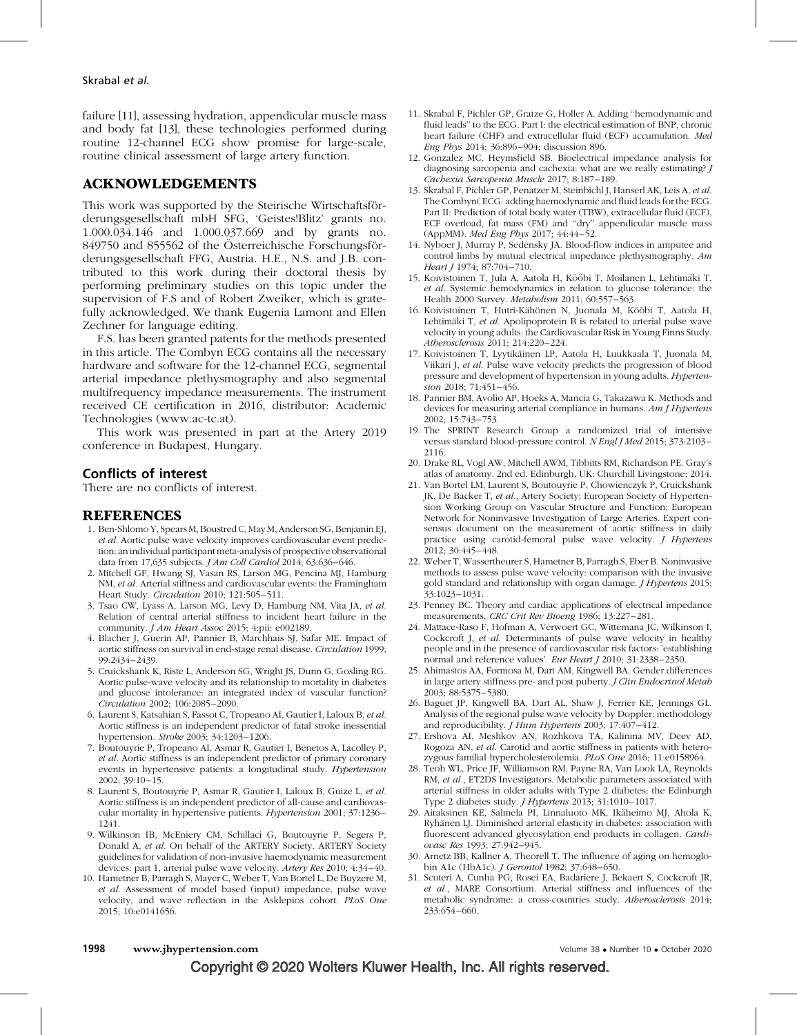failure [11], assessing hydration, appendicular muscle mass and body fat [13], these technologies performed during routine 12-channel ECG show promise for large-scale, routine clinical assessment of large artery function.

#### ACKNOWLEDGEMENTS

This work was supported by the Steirische Wirtschaftsförderungsgesellschaft mbH SFG, 'Geistes!Blitz' grants no. 1.000.034.146 and 1.000.037.669 and by grants no. 849750 and 855562 of the Österreichische Forschungsförderungsgesellschaft FFG, Austria. H.E., N.S. and J.B. contributed to this work during their doctoral thesis by performing preliminary studies on this topic under the supervision of F.S and of Robert Zweiker, which is gratefully acknowledged. We thank Eugenia Lamont and Ellen Zechner for language editing.

F.S. has been granted patents for the methods presented in this article. The Combyn ECG contains all the necessary hardware and software for the 12-channel ECG, segmental arterial impedance plethysmography and also segmental multifrequency impedance measurements. The instrument received CE certification in 2016, distributor: Academic Technologies ([www.ac-tc.at](http://www.ac-tc.at/)).

This work was presented in part at the Artery 2019 conference in Budapest, Hungary.

#### Conflicts of interest

There are no conflicts of interest.

#### REFERENCES

- 1. Ben-Shlomo Y, Spears M, Boustred C, May M, Anderson SG, Benjamin EJ, et al. Aortic pulse wave velocity improves cardiovascular event prediction: an individual participant meta-analysis of prospective observational data from 17,635 subjects. J Am Coll Cardiol 2014; 63:636–646.
- 2. Mitchell GF, Hwang SJ, Vasan RS, Larson MG, Pencina MJ, Hamburg NM, et al. Arterial stiffness and cardiovascular events: the Framingham Heart Study. Circulation 2010; 121:505–511.
- 3. Tsao CW, Lyass A, Larson MG, Levy D, Hamburg NM, Vita JA, et al. Relation of central arterial stiffness to incident heart failure in the community. *J Am Heart Assoc* 2015; 4:pii: e002189.
- 4. Blacher J, Guerin AP, Pannier B, Marchhais SJ, Safar ME. Impact of aortic stiffness on survival in end-stage renal disease. Circulation 1999; 99:2434–2439.
- 5. Cruickshank K, Riste L, Anderson SG, Wright JS, Dunn G, Gosling RG. Aortic pulse-wave velocity and its relationship to mortality in diabetes and glucose intolerance: an integrated index of vascular function? Circulation 2002; 106:2085–2090.
- 6. Laurent S, Katsahian S, Fassot C, Tropeano AI, Gautier I, Laloux B, et al. Aortic stiffness is an independent predictor of fatal stroke inessential hypertension. Stroke 2003; 34:1203–1206.
- 7. Boutouyrie P, Tropeano AI, Asmar R, Gautier I, Benetos A, Lacolley P, et al. Aortic stiffness is an independent predictor of primary coronary events in hypertensive patients: a longitudinal study. Hypertension 2002; 39:10–15.
- 8. Laurent S, Boutouyrie P, Asmar R, Gautier I, Laloux B, Guize L, et al. Aortic stiffness is an independent predictor of all-cause and cardiovascular mortality in hypertensive patients. Hypertension 2001; 37:1236– 1241.
- 9. Wilkinson IB, McEniery CM, Schillaci G, Boutouyrie P, Segers P, Donald A, et al. On behalf of the ARTERY Society. ARTERY Society guidelines for validation of non-invasive haemodynamic measurement devices: part 1, arterial pulse wave velocity. Artery Res 2010; 4:34–40.
- 10. Hametner B, Parragh S, Mayer C, Weber T, Van Bortel L, De Buyzere M, et al. Assessment of model based (input) impedance, pulse wave velocity, and wave reflection in the Asklepios cohort. PLoS One 2015; 10:e0141656.
- 11. Skrabal F, Pichler GP, Gratze G, Holler A. Adding ''hemodynamic and fluid leads'' to the ECG. Part I: the electrical estimation of BNP, chronic heart failure (CHF) and extracellular fluid (ECF) accumulation. Med Eng Phys 2014; 36:896–904; discussion 896.
- 12. Gonzalez MC, Heymsfield SB. Bioelectrical impedance analysis for diagnosing sarcopenia and cachexia: what are we really estimating? J Cachexia Sarcopenia Muscle 2017; 8:187–189.
- 13. Skrabal F, Pichler GP, Penatzer M, Steinbichl J, Hanserl AK, Leis A, et al. The Combyn( ECG: adding haemodynamic and fluid leads for the ECG. Part II: Prediction of total body water (TBW), extracellular fluid (ECF), ECF overload, fat mass (FM) and ''dry'' appendicular muscle mass (AppMM). Med Eng Phys 2017; 44:44–52.
- 14. Nyboer J, Murray P, Sedensky JA. Blood-flow indices in amputee and control limbs by mutual electrical impedance plethysmography. Am Heart J 1974; 87:704-710.
- 15. Koivistoinen T, Jula A, Aatola H, Kööbi T, Moilanen L, Lehtimäki T, et al. Systemic hemodynamics in relation to glucose tolerance: the Health 2000 Survey. Metabolism 2011; 60:557–563.
- 16. Koivistoinen T, Hutri-Kähönen N, Juonala M, Kööbi T, Aatola H, Lehtimäki T, et al. Apolipoprotein B is related to arterial pulse wave velocity in young adults: the Cardiovascular Risk in Young Finns Study. Atherosclerosis 2011; 214:220–224.
- 17. Koivistoinen T, Lyytikäinen LP, Aatola H, Luukkaala T, Juonala M, Viikari J, et al. Pulse wave velocity predicts the progression of blood pressure and development of hypertension in young adults. Hypertension 2018; 71:451–456.
- 18. Pannier BM, Avolio AP, Hoeks A, Mancia G, Takazawa K. Methods and devices for measuring arterial compliance in humans. Am J Hypertens 2002; 15:743–753.
- 19. The SPRINT Research Group a randomized trial of intensive versus standard blood-pressure control. N Engl J Med 2015; 373:2103-2116.
- 20. Drake RL, Vogl AW, Mitchell AWM, Tibbitts RM, Richardson PE. Gray's atlas of anatomy. 2nd ed. Edinburgh, UK: Churchill Livingstone; 2014.
- 21. Van Bortel LM, Laurent S, Boutouyrie P, Chowienczyk P, Cruickshank JK, De Backer T, et al., Artery Society; European Society of Hypertension Working Group on Vascular Structure and Function; European Network for Noninvasive Investigation of Large Arteries. Expert consensus document on the measurement of aortic stiffness in daily practice using carotid-femoral pulse wave velocity. J Hypertens 2012; 30:445–448.
- 22. Weber T, Wassertheurer S, Hametner B, Parragh S, Eber B. Noninvasive methods to assess pulse wave velocity: comparison with the invasive gold standard and relationship with organ damage. J Hypertens 2015; 33:1023–1031.
- 23. Penney BC. Theory and cardiac applications of electrical impedance measurements. CRC Crit Rev Bioeng 1986; 13:227–281.
- 24. Mattace-Raso F, Hofman A, Verwoert GC, Wittemana JC, Wilkinson I, Cockcroft J, et al. Determinants of pulse wave velocity in healthy people and in the presence of cardiovascular risk factors: 'establishing normal and reference values'. Eur Heart J 2010; 31:2338–2350.
- 25. Ahimastos AA, Formosa M, Dart AM, Kingwell BA. Gender differences in large artery stiffness pre- and post puberty. J Clin Endocrinol Metab 2003; 88:5375–5380.
- 26. Baguet JP, Kingwell BA, Dart AL, Shaw J, Ferrier KE, Jennings GL. Analysis of the regional pulse wave velocity by Doppler: methodology and reproducibility. *J Hum Hypertens* 2003; 17:407-412.
- 27. Ershova AI, Meshkov AN, Rozhkova TA, Kalinina MV, Deev AD, Rogoza AN, et al. Carotid and aortic stiffness in patients with heterozygous familial hypercholesterolemia. PLoS One 2016; 11:e0158964.
- 28. Teoh WL, Price JF, Williamson RM, Payne RA, Van Look LA, Reynolds RM, et al., ET2DS Investigators. Metabolic parameters associated with arterial stiffness in older adults with Type 2 diabetes: the Edinburgh Type 2 diabetes study. J Hypertens 2013; 31:1010–1017.
- 29. Airaksinen KE, Salmela PI, Linnaluoto MK, Ikäheimo MJ, Ahola K, Ryhänen LJ. Diminished arterial elasticity in diabetes: association with fluorescent advanced glycosylation end products in collagen. Cardiovasc Res 1993; 27:942–945.
- 30. Arnetz BB, Kallner A, Theorell T. The influence of aging on hemoglobin A1c (HbA1c). J Gerontol 1982; 37:648–650.
- 31. Scuteri A, Cunha PG, Rosei EA, Badariere J, Bekaert S, Cockcroft JR, et al., MARE Consortium. Arterial stiffness and influences of the metabolic syndrome: a cross-countries study. Atherosclerosis 2014; 233:654–660.

#### 1998 www.jhypertension.com **Volume 38 · Number 10 · October 2020**